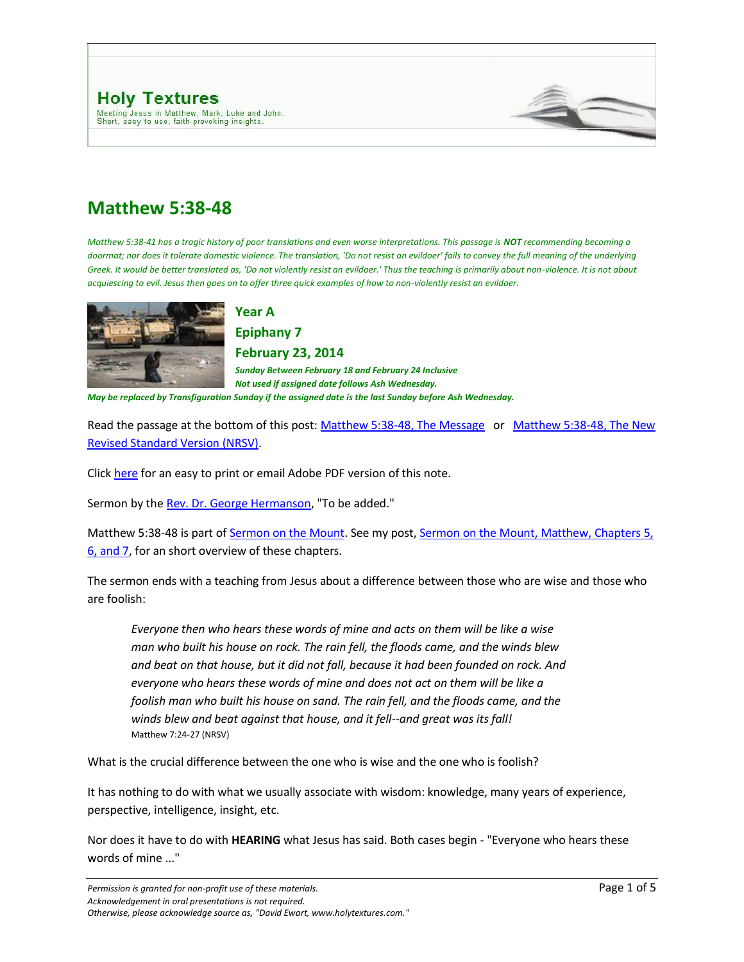

# **Matthew 5:38-48**

*Matthew 5:38-41 has a tragic history of poor translations and even worse interpretations. This passage is NOT recommending becoming a doormat; nor does it tolerate domestic violence. The translation, 'Do not resist an evildoer' fails to convey the full meaning of the underlying*  Greek. It would be better translated as, 'Do not violently resist an evildoer.' Thus the teaching is primarily about non-violence. It is not about *acquiescing to evil. Jesus then goes on to offer three quick examples of how to non-violently resist an evildoer.*



## **Year A Epiphany 7**

**February 23, 2014**

*Sunday Between February 18 and February 24 Inclusive Not used if assigned date follows Ash Wednesday. May be replaced by Transfiguration Sunday if the assigned date is the last Sunday before Ash Wednesday.*

Read the passage at the bottom of this post[: Matthew 5:38-48, The Message](http://www.holytextures.com/2011/02/matthew-5-38-48-year-a-epiphany-7-february-18-february-24-sermon.html#MSG) or Matthew 5:38-48, The New [Revised Standard Version \(NRSV\).](http://www.holytextures.com/2011/02/matthew-5-38-48-year-a-epiphany-7-february-18-february-24-sermon.html#NRSV)

Click [here](http://www.holytextures.com/Matthew-05-38-48.pdf) for an easy to print or email Adobe PDF version of this note.

Sermon by the [Rev. Dr. George Hermanson,](http://www.georgehermanson.com/) "To be added."

Matthew 5:38-48 is part of [Sermon on the Mount.](http://www.holytextures.com/2008/06/sermon-on-the-m.html) See my post, Sermon on the Mount, Matthew, Chapters 5, [6, and 7,](http://www.holytextures.com/2008/06/sermon-on-the-m.html) for an short overview of these chapters.

The sermon ends with a teaching from Jesus about a difference between those who are wise and those who are foolish:

*Everyone then who hears these words of mine and acts on them will be like a wise man who built his house on rock. The rain fell, the floods came, and the winds blew and beat on that house, but it did not fall, because it had been founded on rock. And everyone who hears these words of mine and does not act on them will be like a foolish man who built his house on sand. The rain fell, and the floods came, and the winds blew and beat against that house, and it fell--and great was its fall!* Matthew 7:24-27 (NRSV)

What is the crucial difference between the one who is wise and the one who is foolish?

It has nothing to do with what we usually associate with wisdom: knowledge, many years of experience, perspective, intelligence, insight, etc.

Nor does it have to do with **HEARING** what Jesus has said. Both cases begin - "Everyone who hears these words of mine ..."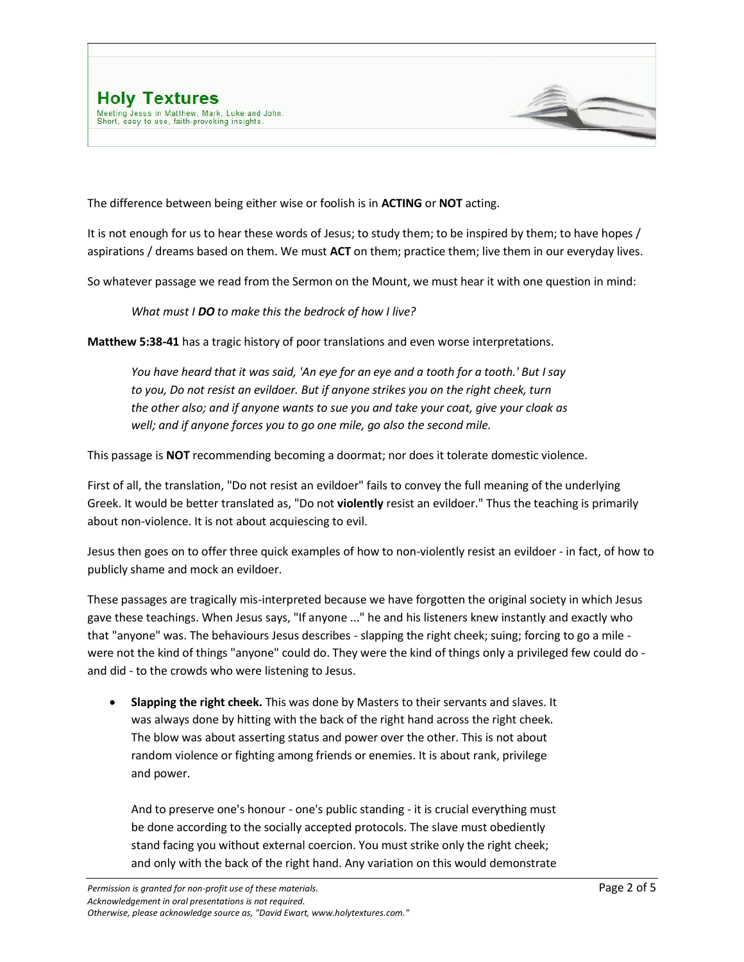



The difference between being either wise or foolish is in **ACTING** or **NOT** acting.

It is not enough for us to hear these words of Jesus; to study them; to be inspired by them; to have hopes / aspirations / dreams based on them. We must **ACT** on them; practice them; live them in our everyday lives.

So whatever passage we read from the Sermon on the Mount, we must hear it with one question in mind:

*What must I DO to make this the bedrock of how I live?*

**Matthew 5:38-41** has a tragic history of poor translations and even worse interpretations.

*You have heard that it was said, 'An eye for an eye and a tooth for a tooth.' But I say to you, Do not resist an evildoer. But if anyone strikes you on the right cheek, turn the other also; and if anyone wants to sue you and take your coat, give your cloak as well; and if anyone forces you to go one mile, go also the second mile.*

This passage is **NOT** recommending becoming a doormat; nor does it tolerate domestic violence.

First of all, the translation, "Do not resist an evildoer" fails to convey the full meaning of the underlying Greek. It would be better translated as, "Do not **violently** resist an evildoer." Thus the teaching is primarily about non-violence. It is not about acquiescing to evil.

Jesus then goes on to offer three quick examples of how to non-violently resist an evildoer - in fact, of how to publicly shame and mock an evildoer.

These passages are tragically mis-interpreted because we have forgotten the original society in which Jesus gave these teachings. When Jesus says, "If anyone ..." he and his listeners knew instantly and exactly who that "anyone" was. The behaviours Jesus describes - slapping the right cheek; suing; forcing to go a mile were not the kind of things "anyone" could do. They were the kind of things only a privileged few could do and did - to the crowds who were listening to Jesus.

 **Slapping the right cheek.** This was done by Masters to their servants and slaves. It was always done by hitting with the back of the right hand across the right cheek. The blow was about asserting status and power over the other. This is not about random violence or fighting among friends or enemies. It is about rank, privilege and power.

And to preserve one's honour - one's public standing - it is crucial everything must be done according to the socially accepted protocols. The slave must obediently stand facing you without external coercion. You must strike only the right cheek; and only with the back of the right hand. Any variation on this would demonstrate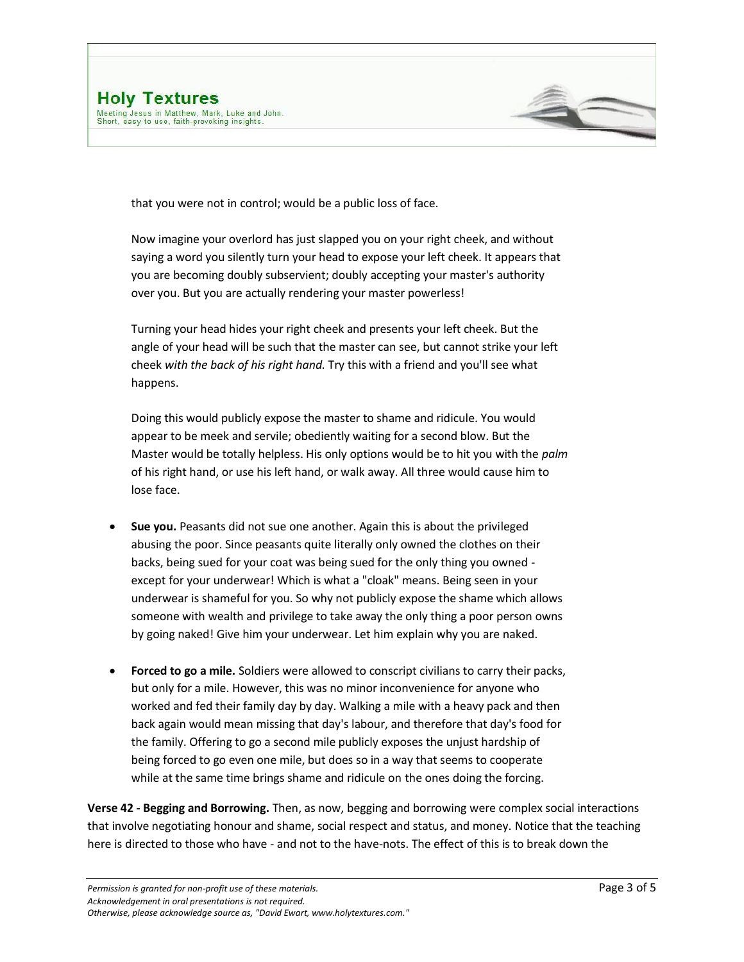

that you were not in control; would be a public loss of face.

Now imagine your overlord has just slapped you on your right cheek, and without saying a word you silently turn your head to expose your left cheek. It appears that you are becoming doubly subservient; doubly accepting your master's authority over you. But you are actually rendering your master powerless!

Turning your head hides your right cheek and presents your left cheek. But the angle of your head will be such that the master can see, but cannot strike your left cheek *with the back of his right hand.* Try this with a friend and you'll see what happens.

Doing this would publicly expose the master to shame and ridicule. You would appear to be meek and servile; obediently waiting for a second blow. But the Master would be totally helpless. His only options would be to hit you with the *palm* of his right hand, or use his left hand, or walk away. All three would cause him to lose face.

- **Sue you.** Peasants did not sue one another. Again this is about the privileged abusing the poor. Since peasants quite literally only owned the clothes on their backs, being sued for your coat was being sued for the only thing you owned except for your underwear! Which is what a "cloak" means. Being seen in your underwear is shameful for you. So why not publicly expose the shame which allows someone with wealth and privilege to take away the only thing a poor person owns by going naked! Give him your underwear. Let him explain why you are naked.
- **Forced to go a mile.** Soldiers were allowed to conscript civilians to carry their packs, but only for a mile. However, this was no minor inconvenience for anyone who worked and fed their family day by day. Walking a mile with a heavy pack and then back again would mean missing that day's labour, and therefore that day's food for the family. Offering to go a second mile publicly exposes the unjust hardship of being forced to go even one mile, but does so in a way that seems to cooperate while at the same time brings shame and ridicule on the ones doing the forcing.

**Verse 42 - Begging and Borrowing.** Then, as now, begging and borrowing were complex social interactions that involve negotiating honour and shame, social respect and status, and money. Notice that the teaching here is directed to those who have - and not to the have-nots. The effect of this is to break down the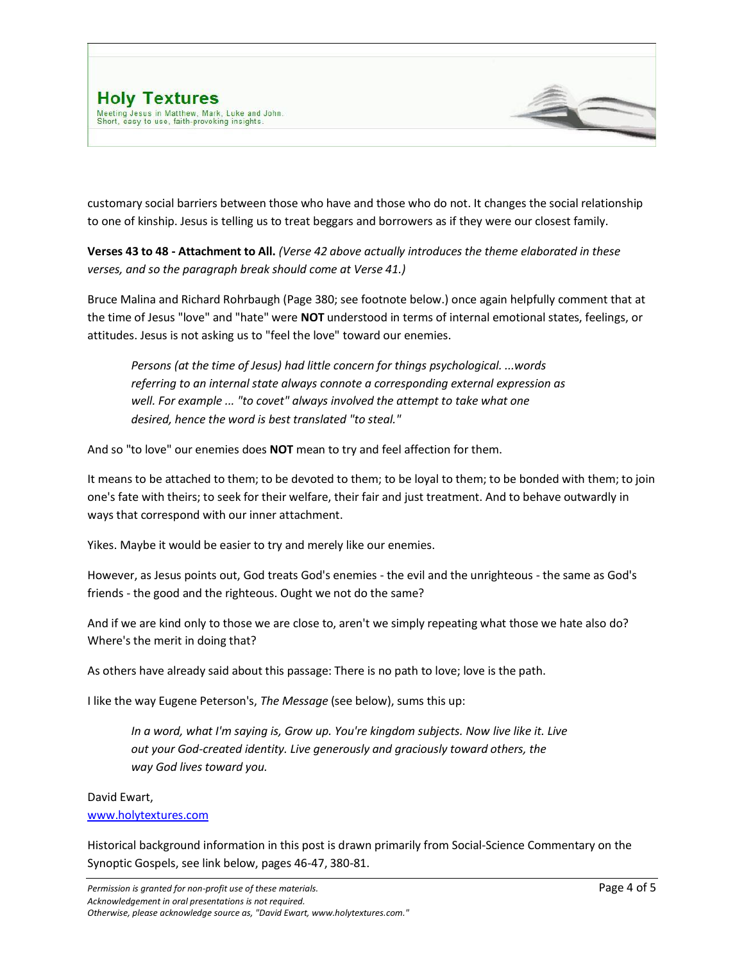

customary social barriers between those who have and those who do not. It changes the social relationship to one of kinship. Jesus is telling us to treat beggars and borrowers as if they were our closest family.

**Verses 43 to 48 - Attachment to All.** *(Verse 42 above actually introduces the theme elaborated in these verses, and so the paragraph break should come at Verse 41.)*

Bruce Malina and Richard Rohrbaugh (Page 380; see footnote below.) once again helpfully comment that at the time of Jesus "love" and "hate" were **NOT** understood in terms of internal emotional states, feelings, or attitudes. Jesus is not asking us to "feel the love" toward our enemies.

*Persons (at the time of Jesus) had little concern for things psychological. ...words referring to an internal state always connote a corresponding external expression as well. For example ... "to covet" always involved the attempt to take what one desired, hence the word is best translated "to steal."*

And so "to love" our enemies does **NOT** mean to try and feel affection for them.

It means to be attached to them; to be devoted to them; to be loyal to them; to be bonded with them; to join one's fate with theirs; to seek for their welfare, their fair and just treatment. And to behave outwardly in ways that correspond with our inner attachment.

Yikes. Maybe it would be easier to try and merely like our enemies.

However, as Jesus points out, God treats God's enemies - the evil and the unrighteous - the same as God's friends - the good and the righteous. Ought we not do the same?

And if we are kind only to those we are close to, aren't we simply repeating what those we hate also do? Where's the merit in doing that?

As others have already said about this passage: There is no path to love; love is the path.

I like the way Eugene Peterson's, *The Message* (see below), sums this up:

*In a word, what I'm saying is, Grow up. You're kingdom subjects. Now live like it. Live out your God-created identity. Live generously and graciously toward others, the way God lives toward you.*

### David Ewart,

#### [www.holytextures.com](http://www.holytextures.com/)

Historical background information in this post is drawn primarily from Social-Science Commentary on the Synoptic Gospels, see link below, pages 46-47, 380-81.